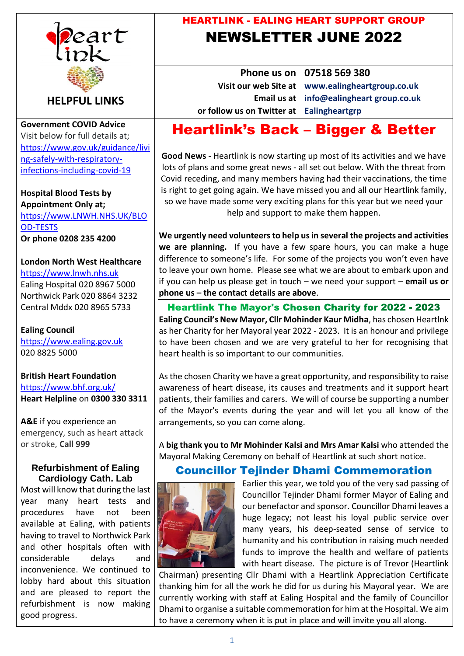

**HELPFUL LINKS**

**Government COVID Advice** Visit below for full details at; [https://www.gov.uk/guidance/livi](https://www.gov.uk/guidance/living-safely-with-respiratory-infections-including-covid-19) [ng-safely-with-respiratory](https://www.gov.uk/guidance/living-safely-with-respiratory-infections-including-covid-19)[infections-including-covid-19](https://www.gov.uk/guidance/living-safely-with-respiratory-infections-including-covid-19)

**Hospital Blood Tests by Appointment Only at;** [https://www.LNWH.NHS.UK/BLO](https://www.lnwh.nhs.uk/BLOOD-TESTS) [OD-TESTS](https://www.lnwh.nhs.uk/BLOOD-TESTS) **Or phone 0208 235 4200**

# **London North West Healthcare**

[https://www.lnwh.nhs.uk](https://www.lnwh.nhs.uk/) Ealing Hospital 020 8967 5000 Northwick Park 020 8864 3232 Central Mddx 020 8965 5733

**Ealing Council** [https://www.ealing.gov.uk](https://www.ealing.gov.uk/) 020 8825 5000

## **British Heart Foundation** <https://www.bhf.org.uk/> **Heart Helpline** on **0300 330 3311**

**A&E** if you experience an emergency, such as heart attack or stroke, **Call 999**

## **Refurbishment of Ealing Cardiology Cath. Lab**

Most will know that during the last year many heart tests and procedures have not been available at Ealing, with patients having to travel to Northwick Park and other hospitals often with considerable delays and inconvenience. We continued to lobby hard about this situation and are pleased to report the refurbishment is now making good progress.

# HEARTLINK - EALING HEART SUPPORT GROUP NEWSLETTER JUNE 2022

**Phone us on 07518 569 380 or follow us on Twitter at Ealingheartgrp**

**Visit our web Site at www.ealingheartgroup.co.uk Email us at info@ealingheart group.co.uk** 

# Heartlink's Back – Bigger & Better

**Good News** - Heartlink is now starting up most of its activities and we have lots of plans and some great news - all set out below. With the threat from Covid receding, and many members having had their vaccinations, the time is right to get going again. We have missed you and all our Heartlink family, so we have made some very exciting plans for this year but we need your help and support to make them happen.

**We urgently need volunteers to help us in several the projects and activities we are planning.** If you have a few spare hours, you can make a huge difference to someone's life. For some of the projects you won't even have to leave your own home. Please see what we are about to embark upon and if you can help us please get in touch – we need your support – **email us or phone us – the contact details are above**.

**Heartlink The Mayor's Chosen Charity for 2022 - 2023 Ealing Council's New Mayor, Cllr Mohinder Kaur Midha**, has chosen Heartlnk as her Charity for her Mayoral year 2022 - 2023. It is an honour and privilege to have been chosen and we are very grateful to her for recognising that heart health is so important to our communities.

As the chosen Charity we have a great opportunity, and responsibility to raise awareness of heart disease, its causes and treatments and it support heart patients, their families and carers. We will of course be supporting a number of the Mayor's events during the year and will let you all know of the arrangements, so you can come along.

A **big thank you to Mr Mohinder Kalsi and Mrs Amar Kalsi** who attended the Mayoral Making Ceremony on behalf of Heartlink at such short notice.

# Councillor Tejinder Dhami Commemoration



Earlier this year, we told you of the very sad passing of Councillor Tejinder Dhami former Mayor of Ealing and our benefactor and sponsor. Councillor Dhami leaves a huge legacy; not least his loyal public service over many years, his deep-seated sense of service to humanity and his contribution in raising much needed funds to improve the health and welfare of patients with heart disease. The picture is of Trevor (Heartlink

Chairman) presenting Cllr Dhami with a Heartlink Appreciation Certificate thanking him for all the work he did for us during his Mayoral year. We are currently working with staff at Ealing Hospital and the family of Councillor Dhami to organise a suitable commemoration for him at the Hospital. We aim to have a ceremony when it is put in place and will invite you all along.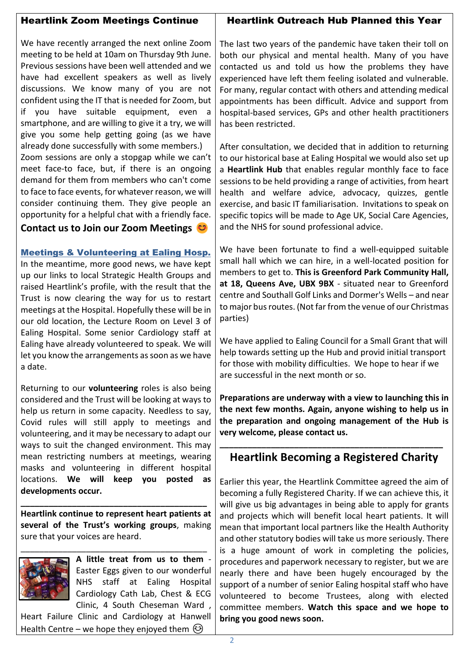### Heartlink Zoom Meetings Continue

#### Heartlink Outreach Hub Planned this Year

We have recently arranged the next online Zoom meeting to be held at 10am on Thursday 9th June. Previous sessions have been well attended and we have had excellent speakers as well as lively discussions. We know many of you are not confident using the IT that is needed for Zoom, but if you have suitable equipment, even a smartphone, and are willing to give it a try, we will give you some help getting going (as we have already done successfully with some members.)

Zoom sessions are only a stopgap while we can't meet face-to face, but, if there is an ongoing demand for them from members who can't come to face to face events, for whatever reason, we will consider continuing them. They give people an opportunity for a helpful chat with a friendly face.

# **Contact us to Join our Zoom Meetings**

Meetings & Volunteering at Ealing Hosp.

In the meantime, more good news, we have kept up our links to local Strategic Health Groups and raised Heartlink's profile, with the result that the Trust is now clearing the way for us to restart meetings at the Hospital. Hopefully these will be in our old location, the Lecture Room on Level 3 of Ealing Hospital. Some senior Cardiology staff at Ealing have already volunteered to speak. We will let you know the arrangements as soon as we have a date.

Returning to our **volunteering** roles is also being considered and the Trust will be looking at ways to help us return in some capacity. Needless to say, Covid rules will still apply to meetings and volunteering, and it may be necessary to adapt our ways to suit the changed environment. This may mean restricting numbers at meetings, wearing masks and volunteering in different hospital locations. **We will keep you posted as developments occur.**

**Heartlink continue to represent heart patients at several of the Trust's working groups**, making sure that your voices are heard.

**\_\_\_\_\_\_\_\_\_\_\_\_\_\_\_\_\_\_\_\_\_\_\_\_\_\_\_\_\_\_\_\_\_\_\_\_\_\_\_\_**



**A little treat from us to them** - Easter Eggs given to our wonderful NHS staff at Ealing Hospital Cardiology Cath Lab, Chest & ECG Clinic, 4 South Cheseman Ward ,

Heart Failure Clinic and Cardiology at Hanwell Health Centre – we hope they enjoyed them  $\odot$ 

The last two years of the pandemic have taken their toll on both our physical and mental health. Many of you have contacted us and told us how the problems they have experienced have left them feeling isolated and vulnerable. For many, regular contact with others and attending medical appointments has been difficult. Advice and support from hospital-based services, GPs and other health practitioners has been restricted.

After consultation, we decided that in addition to returning to our historical base at Ealing Hospital we would also set up a **Heartlink Hub** that enables regular monthly face to face sessions to be held providing a range of activities, from heart health and welfare advice, advocacy, quizzes, gentle exercise, and basic IT familiarisation. Invitations to speak on specific topics will be made to Age UK, Social Care Agencies, and the NHS for sound professional advice.

We have been fortunate to find a well-equipped suitable small hall which we can hire, in a well-located position for members to get to. **This is Greenford Park Community Hall, at 18, Queens Ave, UBX 9BX** - situated near to Greenford centre and Southall Golf Links and Dormer's Wells – and near to major bus routes. (Not far from the venue of our Christmas parties)

We have applied to Ealing Council for a Small Grant that will help towards setting up the Hub and provid initial transport for those with mobility difficulties. We hope to hear if we are successful in the next month or so.

**Preparations are underway with a view to launching this in the next few months. Again, anyone wishing to help us in the preparation and ongoing management of the Hub is very welcome, please contact us.**

# **Heartlink Becoming a Registered Charity**

**\_\_\_\_\_\_\_\_\_\_\_\_\_\_\_\_\_\_\_\_\_\_\_\_\_\_\_\_\_\_\_\_\_\_\_\_\_\_\_\_\_\_\_\_\_\_\_\_**

Earlier this year, the Heartlink Committee agreed the aim of becoming a fully Registered Charity. If we can achieve this, it will give us big advantages in being able to apply for grants and projects which will benefit local heart patients. It will mean that important local partners like the Health Authority and other statutory bodies will take us more seriously. There is a huge amount of work in completing the policies, procedures and paperwork necessary to register, but we are nearly there and have been hugely encouraged by the support of a number of senior Ealing hospital staff who have volunteered to become Trustees, along with elected committee members. **Watch this space and we hope to bring you good news soon.**